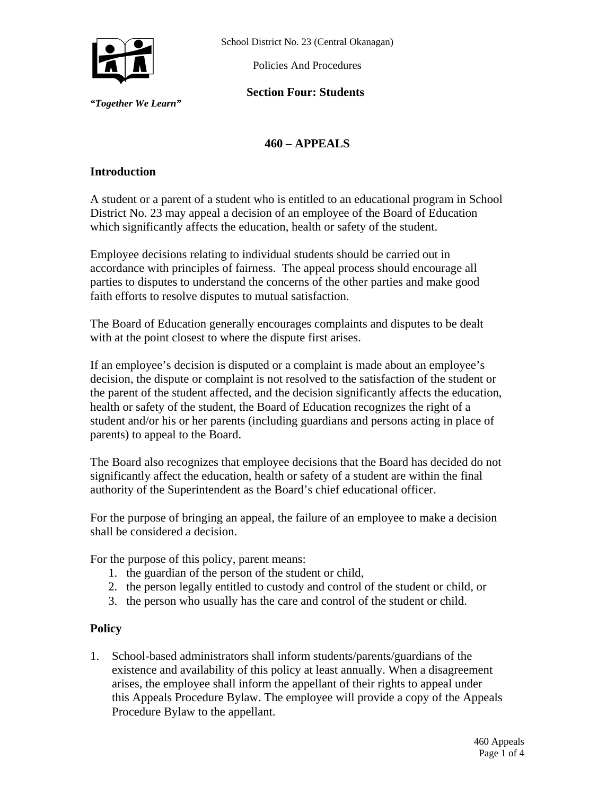

*"Together We Learn"* 

School District No. 23 (Central Okanagan)

Policies And Procedures

**Section Four: Students** 

# **460 – APPEALS**

## **Introduction**

A student or a parent of a student who is entitled to an educational program in School District No. 23 may appeal a decision of an employee of the Board of Education which significantly affects the education, health or safety of the student.

Employee decisions relating to individual students should be carried out in accordance with principles of fairness. The appeal process should encourage all parties to disputes to understand the concerns of the other parties and make good faith efforts to resolve disputes to mutual satisfaction.

The Board of Education generally encourages complaints and disputes to be dealt with at the point closest to where the dispute first arises.

If an employee's decision is disputed or a complaint is made about an employee's decision, the dispute or complaint is not resolved to the satisfaction of the student or the parent of the student affected, and the decision significantly affects the education, health or safety of the student, the Board of Education recognizes the right of a student and/or his or her parents (including guardians and persons acting in place of parents) to appeal to the Board.

The Board also recognizes that employee decisions that the Board has decided do not significantly affect the education, health or safety of a student are within the final authority of the Superintendent as the Board's chief educational officer.

For the purpose of bringing an appeal, the failure of an employee to make a decision shall be considered a decision.

For the purpose of this policy, parent means:

- 1. the guardian of the person of the student or child,
- 2. the person legally entitled to custody and control of the student or child, or
- 3. the person who usually has the care and control of the student or child.

#### **Policy**

1. School-based administrators shall inform students/parents/guardians of the existence and availability of this policy at least annually. When a disagreement arises, the employee shall inform the appellant of their rights to appeal under this Appeals Procedure Bylaw. The employee will provide a copy of the Appeals Procedure Bylaw to the appellant.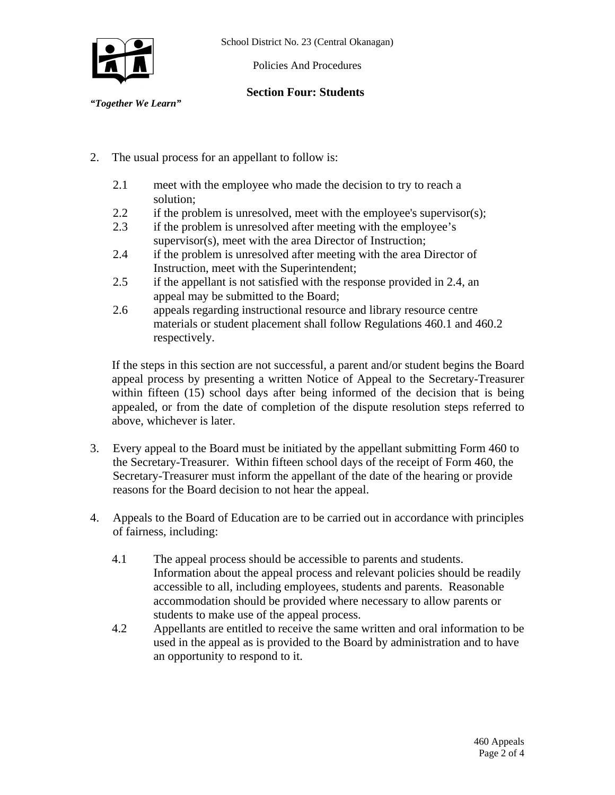School District No. 23 (Central Okanagan)



Policies And Procedures

## **Section Four: Students**

*"Together We Learn"* 

- 2. The usual process for an appellant to follow is:
	- 2.1 meet with the employee who made the decision to try to reach a solution;
	- 2.2 if the problem is unresolved, meet with the employee's supervisor(s);
	- 2.3 if the problem is unresolved after meeting with the employee's supervisor(s), meet with the area Director of Instruction;
	- 2.4 if the problem is unresolved after meeting with the area Director of Instruction, meet with the Superintendent;
	- 2.5 if the appellant is not satisfied with the response provided in 2.4, an appeal may be submitted to the Board;
	- 2.6 appeals regarding instructional resource and library resource centre materials or student placement shall follow Regulations 460.1 and 460.2 respectively.

If the steps in this section are not successful, a parent and/or student begins the Board appeal process by presenting a written Notice of Appeal to the Secretary-Treasurer within fifteen (15) school days after being informed of the decision that is being appealed, or from the date of completion of the dispute resolution steps referred to above, whichever is later.

- 3. Every appeal to the Board must be initiated by the appellant submitting Form 460 to the Secretary-Treasurer. Within fifteen school days of the receipt of Form 460, the Secretary-Treasurer must inform the appellant of the date of the hearing or provide reasons for the Board decision to not hear the appeal.
- 4. Appeals to the Board of Education are to be carried out in accordance with principles of fairness, including:
	- 4.1 The appeal process should be accessible to parents and students. Information about the appeal process and relevant policies should be readily accessible to all, including employees, students and parents. Reasonable accommodation should be provided where necessary to allow parents or students to make use of the appeal process.
	- 4.2 Appellants are entitled to receive the same written and oral information to be used in the appeal as is provided to the Board by administration and to have an opportunity to respond to it.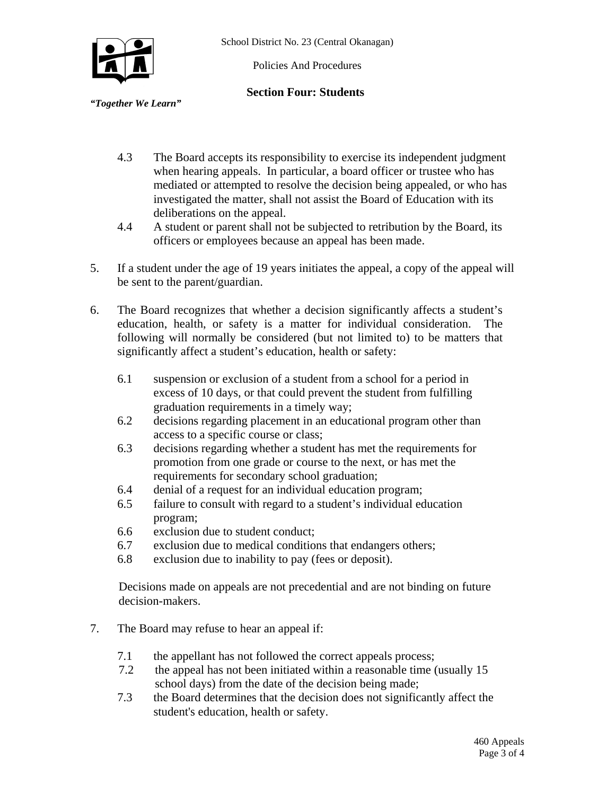

Policies And Procedures

### **Section Four: Students**

*"Together We Learn"* 

- 4.3 The Board accepts its responsibility to exercise its independent judgment when hearing appeals. In particular, a board officer or trustee who has mediated or attempted to resolve the decision being appealed, or who has investigated the matter, shall not assist the Board of Education with its deliberations on the appeal.
- 4.4 A student or parent shall not be subjected to retribution by the Board, its officers or employees because an appeal has been made.
- 5. If a student under the age of 19 years initiates the appeal, a copy of the appeal will be sent to the parent/guardian.
- 6. The Board recognizes that whether a decision significantly affects a student's education, health, or safety is a matter for individual consideration. The following will normally be considered (but not limited to) to be matters that significantly affect a student's education, health or safety:
	- 6.1 suspension or exclusion of a student from a school for a period in excess of 10 days, or that could prevent the student from fulfilling graduation requirements in a timely way;
	- 6.2 decisions regarding placement in an educational program other than access to a specific course or class;
	- 6.3 decisions regarding whether a student has met the requirements for promotion from one grade or course to the next, or has met the requirements for secondary school graduation;
	- 6.4 denial of a request for an individual education program;
	- 6.5 failure to consult with regard to a student's individual education program;
	- 6.6 exclusion due to student conduct;
	- 6.7 exclusion due to medical conditions that endangers others;
	- 6.8 exclusion due to inability to pay (fees or deposit).

 Decisions made on appeals are not precedential and are not binding on future decision-makers.

- 7. The Board may refuse to hear an appeal if:
	- 7.1 the appellant has not followed the correct appeals process;
	- 7.2 the appeal has not been initiated within a reasonable time (usually 15 school days) from the date of the decision being made;
	- 7.3 the Board determines that the decision does not significantly affect the student's education, health or safety.